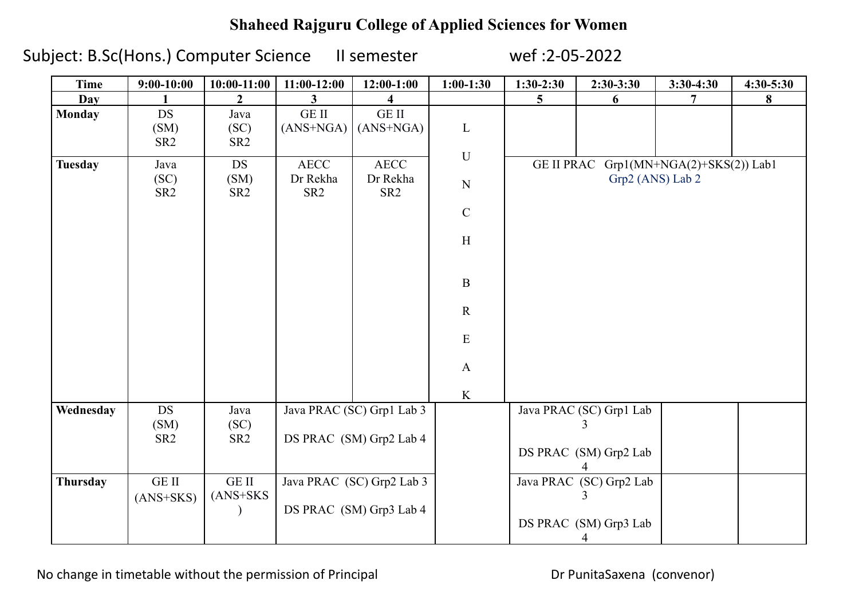## **Shaheed Rajguru College of Applied Sciences for Women**

Subject: B.Sc(Hons.) Computer Science II semester wef :2-05-2022

| <b>Time</b>    | $9:00-10:00$                         | $10:00-11:00$                        | $11:00-12:00$                                        | $12:00-1:00$                               | $1:00-1:30$                                                                                                                      | $1:30-2:30$       | $2:30-3:30$                                           | $3:30-4:30$                 | 4:30-5:30 |
|----------------|--------------------------------------|--------------------------------------|------------------------------------------------------|--------------------------------------------|----------------------------------------------------------------------------------------------------------------------------------|-------------------|-------------------------------------------------------|-----------------------------|-----------|
| Day            |                                      | $\mathcal{L}$                        | 3                                                    |                                            |                                                                                                                                  | 5                 | 6                                                     | 7                           | 8         |
| <b>Monday</b>  | <b>DS</b><br>(SM)<br>SR <sub>2</sub> | Java<br>(SC)<br>SR <sub>2</sub>      | <b>GE II</b><br>$(ANS+NGA)$                          | <b>GE II</b><br>$(ANS+NGA)$                | $\mathbf{L}$                                                                                                                     |                   |                                                       |                             |           |
| <b>Tuesday</b> | Java<br>(SC)<br>SR <sub>2</sub>      | <b>DS</b><br>(SM)<br>SR <sub>2</sub> | <b>AECC</b><br>Dr Rekha<br>SR <sub>2</sub>           | <b>AECC</b><br>Dr Rekha<br>SR <sub>2</sub> | $\mathbf U$<br>${\bf N}$<br>$\mathbf C$<br>$\boldsymbol{\mathrm{H}}$<br>$\, {\bf B}$<br>$\mathbf R$<br>${\bf E}$<br>$\mathbf{A}$ | <b>GE II PRAC</b> | Grp2 (ANS) Lab 2                                      | Grp1(MN+NGA(2)+SKS(2)) Lab1 |           |
|                |                                      |                                      |                                                      |                                            | $\bf K$                                                                                                                          |                   |                                                       |                             |           |
| Wednesday      | $DS$<br>(SM)<br>SR <sub>2</sub>      | Java<br>(SC)<br>SR <sub>2</sub>      | Java PRAC (SC) Grp1 Lab 3<br>DS PRAC (SM) Grp2 Lab 4 |                                            |                                                                                                                                  |                   | Java PRAC (SC) Grp1 Lab<br>3<br>DS PRAC (SM) Grp2 Lab |                             |           |
| Thursday       | GE II<br>$(ANS+SKS)$                 | GE II<br>$(ANS+SKS)$                 | Java PRAC (SC) Grp2 Lab 3<br>DS PRAC (SM) Grp3 Lab 4 |                                            |                                                                                                                                  |                   | Java PRAC (SC) Grp2 Lab<br>DS PRAC (SM) Grp3 Lab<br>4 |                             |           |

No change in timetable without the permission of Principal **Dramic Convents** Dr PunitaSaxena (convenor)